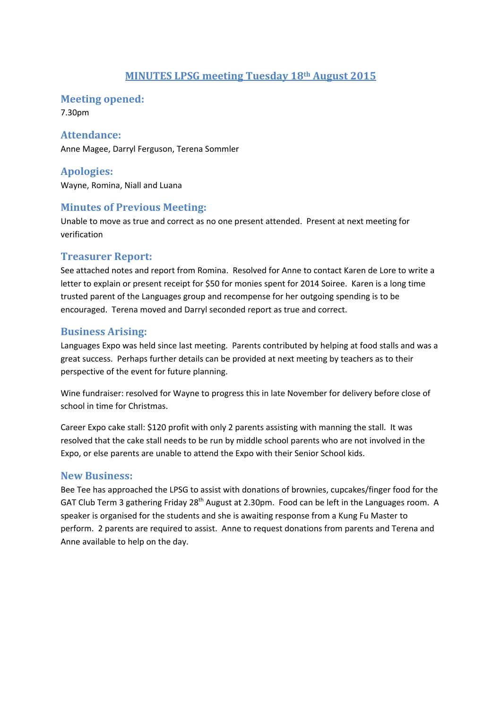### **MINUTES LPSG meeting Tuesday 18th August 2015**

**Meeting opened:** 

7.30pm

#### **Attendance:**

Anne Magee, Darryl Ferguson, Terena Sommler

**Apologies:**  Wayne, Romina, Niall and Luana

# **Minutes of Previous Meeting:**

Unable to move as true and correct as no one present attended. Present at next meeting for verification

### **Treasurer Report:**

See attached notes and report from Romina. Resolved for Anne to contact Karen de Lore to write a letter to explain or present receipt for \$50 for monies spent for 2014 Soiree. Karen is a long time trusted parent of the Languages group and recompense for her outgoing spending is to be encouraged. Terena moved and Darryl seconded report as true and correct.

### **Business Arising:**

Languages Expo was held since last meeting. Parents contributed by helping at food stalls and was a great success. Perhaps further details can be provided at next meeting by teachers as to their perspective of the event for future planning.

Wine fundraiser: resolved for Wayne to progress this in late November for delivery before close of school in time for Christmas.

Career Expo cake stall: \$120 profit with only 2 parents assisting with manning the stall. It was resolved that the cake stall needs to be run by middle school parents who are not involved in the Expo, or else parents are unable to attend the Expo with their Senior School kids.

#### **New Business:**

Bee Tee has approached the LPSG to assist with donations of brownies, cupcakes/finger food for the GAT Club Term 3 gathering Friday 28<sup>th</sup> August at 2.30pm. Food can be left in the Languages room. A speaker is organised for the students and she is awaiting response from a Kung Fu Master to perform. 2 parents are required to assist. Anne to request donations from parents and Terena and Anne available to help on the day.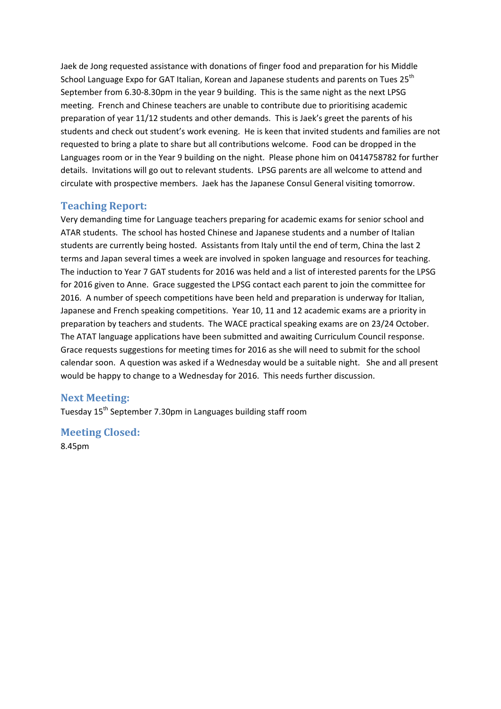Jaek de Jong requested assistance with donations of finger food and preparation for his Middle School Language Expo for GAT Italian, Korean and Japanese students and parents on Tues 25<sup>th</sup> September from 6.30‐8.30pm in the year 9 building. This is the same night as the next LPSG meeting. French and Chinese teachers are unable to contribute due to prioritising academic preparation of year 11/12 students and other demands. This is Jaek's greet the parents of his students and check out student's work evening. He is keen that invited students and families are not requested to bring a plate to share but all contributions welcome. Food can be dropped in the Languages room or in the Year 9 building on the night. Please phone him on 0414758782 for further details. Invitations will go out to relevant students. LPSG parents are all welcome to attend and circulate with prospective members. Jaek has the Japanese Consul General visiting tomorrow.

#### **Teaching Report:**

Very demanding time for Language teachers preparing for academic exams for senior school and ATAR students. The school has hosted Chinese and Japanese students and a number of Italian students are currently being hosted. Assistants from Italy until the end of term, China the last 2 terms and Japan several times a week are involved in spoken language and resources for teaching. The induction to Year 7 GAT students for 2016 was held and a list of interested parents for the LPSG for 2016 given to Anne. Grace suggested the LPSG contact each parent to join the committee for 2016. A number of speech competitions have been held and preparation is underway for Italian, Japanese and French speaking competitions. Year 10, 11 and 12 academic exams are a priority in preparation by teachers and students. The WACE practical speaking exams are on 23/24 October. The ATAT language applications have been submitted and awaiting Curriculum Council response. Grace requests suggestions for meeting times for 2016 as she will need to submit for the school calendar soon. A question was asked if a Wednesday would be a suitable night. She and all present would be happy to change to a Wednesday for 2016. This needs further discussion.

#### **Next Meeting:**

Tuesday 15th September 7.30pm in Languages building staff room

**Meeting Closed:**

8.45pm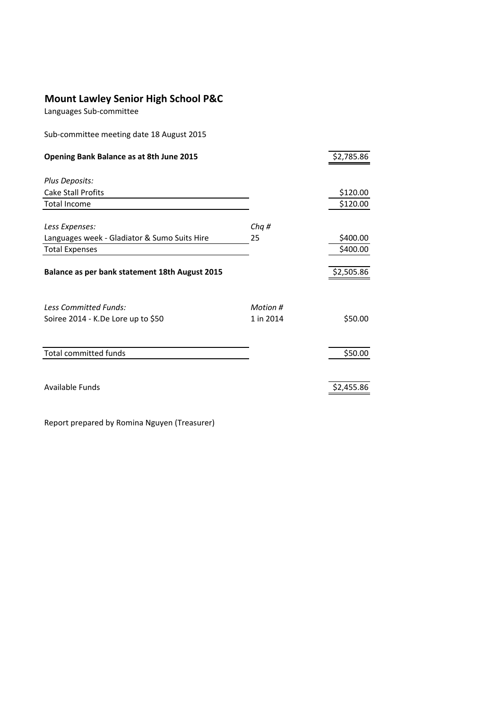# **Mount Lawley Senior High School P&C**

Languages Sub‐committee

Sub‐committee meeting date 18 August 2015

| Opening Bank Balance as at 8th June 2015       |           | \$2,785.86 |
|------------------------------------------------|-----------|------------|
|                                                |           |            |
| Plus Deposits:                                 |           |            |
| <b>Cake Stall Profits</b>                      |           | \$120.00   |
| <b>Total Income</b>                            |           | \$120.00   |
|                                                |           |            |
| Less Expenses:                                 | Chq#      |            |
| Languages week - Gladiator & Sumo Suits Hire   | 25        | \$400.00   |
| <b>Total Expenses</b>                          |           | \$400.00   |
|                                                |           |            |
| Balance as per bank statement 18th August 2015 |           | \$2,505.86 |
|                                                |           |            |
| <b>Less Committed Funds:</b>                   | Motion #  |            |
| Soiree 2014 - K.De Lore up to \$50             | 1 in 2014 | \$50.00    |
|                                                |           |            |
|                                                |           |            |
| <b>Total committed funds</b>                   |           | \$50.00    |
|                                                |           |            |
| Available Funds                                |           | \$2,455.86 |
|                                                |           |            |

Report prepared by Romina Nguyen (Treasurer)